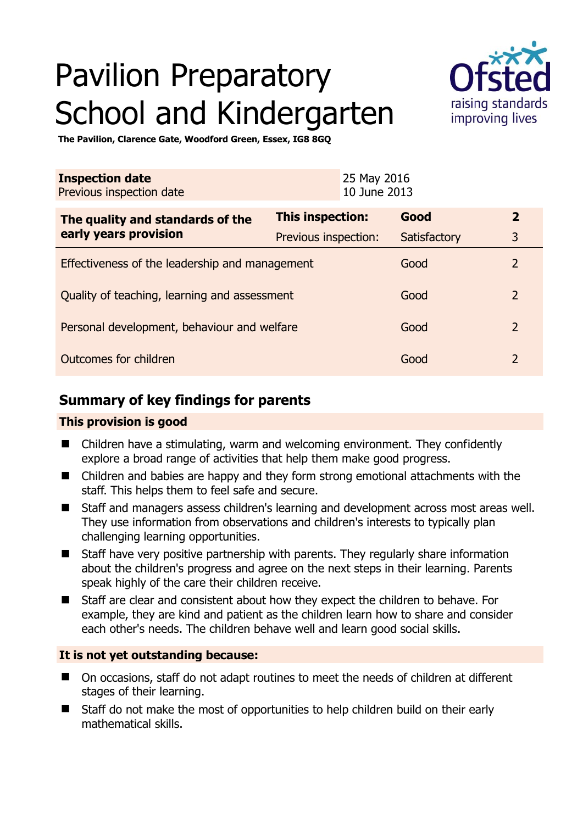# Pavilion Preparatory School and Kindergarten



**The Pavilion, Clarence Gate, Woodford Green, Essex, IG8 8GQ** 

| <b>Inspection date</b><br>Previous inspection date        |                      | 25 May 2016<br>10 June 2013 |              |                |
|-----------------------------------------------------------|----------------------|-----------------------------|--------------|----------------|
| The quality and standards of the<br>early years provision | This inspection:     |                             | Good         | $\overline{2}$ |
|                                                           | Previous inspection: |                             | Satisfactory | 3              |
| Effectiveness of the leadership and management            |                      |                             | Good         | $\overline{2}$ |
| Quality of teaching, learning and assessment              |                      |                             | Good         | $\overline{2}$ |
| Personal development, behaviour and welfare               |                      |                             | Good         | $\overline{2}$ |
| Outcomes for children                                     |                      |                             | Good         | $\mathcal{P}$  |

## **Summary of key findings for parents**

## **This provision is good**

- Children have a stimulating, warm and welcoming environment. They confidently explore a broad range of activities that help them make good progress.
- Children and babies are happy and they form strong emotional attachments with the staff. This helps them to feel safe and secure.
- Staff and managers assess children's learning and development across most areas well. They use information from observations and children's interests to typically plan challenging learning opportunities.
- Staff have very positive partnership with parents. They regularly share information about the children's progress and agree on the next steps in their learning. Parents speak highly of the care their children receive.
- Staff are clear and consistent about how they expect the children to behave. For example, they are kind and patient as the children learn how to share and consider each other's needs. The children behave well and learn good social skills.

## **It is not yet outstanding because:**

- On occasions, staff do not adapt routines to meet the needs of children at different stages of their learning.
- Staff do not make the most of opportunities to help children build on their early mathematical skills.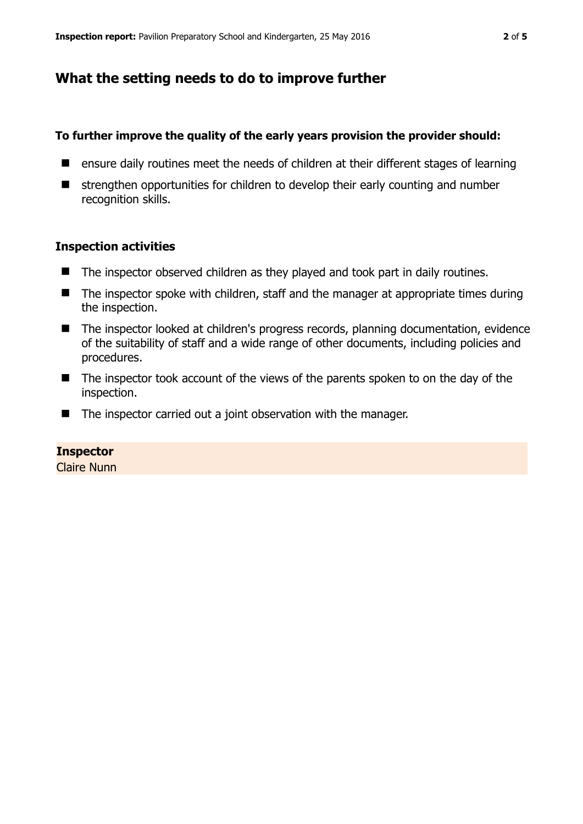## **What the setting needs to do to improve further**

#### **To further improve the quality of the early years provision the provider should:**

- ensure daily routines meet the needs of children at their different stages of learning
- **E** strengthen opportunities for children to develop their early counting and number recognition skills.

#### **Inspection activities**

- The inspector observed children as they played and took part in daily routines.
- $\blacksquare$  The inspector spoke with children, staff and the manager at appropriate times during the inspection.
- The inspector looked at children's progress records, planning documentation, evidence of the suitability of staff and a wide range of other documents, including policies and procedures.
- The inspector took account of the views of the parents spoken to on the day of the inspection.
- The inspector carried out a joint observation with the manager.

#### **Inspector**

Claire Nunn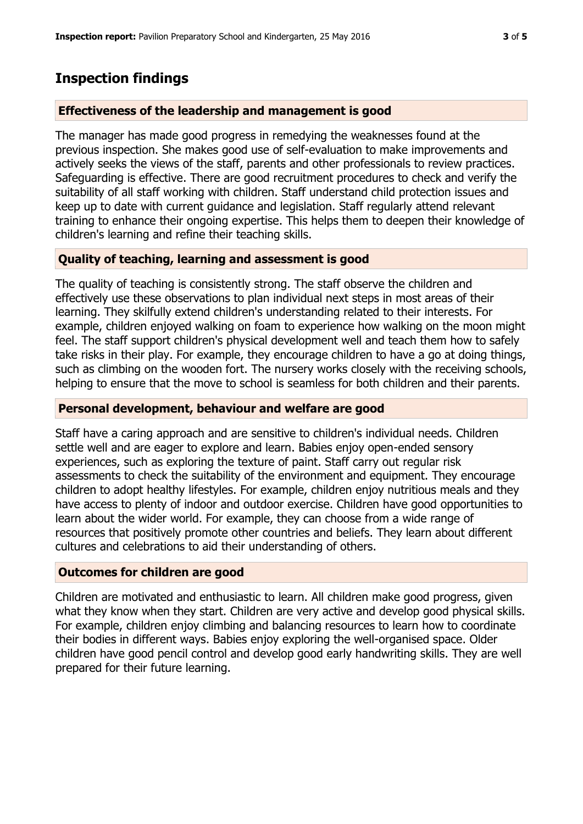## **Inspection findings**

#### **Effectiveness of the leadership and management is good**

The manager has made good progress in remedying the weaknesses found at the previous inspection. She makes good use of self-evaluation to make improvements and actively seeks the views of the staff, parents and other professionals to review practices. Safeguarding is effective. There are good recruitment procedures to check and verify the suitability of all staff working with children. Staff understand child protection issues and keep up to date with current guidance and legislation. Staff regularly attend relevant training to enhance their ongoing expertise. This helps them to deepen their knowledge of children's learning and refine their teaching skills.

#### **Quality of teaching, learning and assessment is good**

The quality of teaching is consistently strong. The staff observe the children and effectively use these observations to plan individual next steps in most areas of their learning. They skilfully extend children's understanding related to their interests. For example, children enjoyed walking on foam to experience how walking on the moon might feel. The staff support children's physical development well and teach them how to safely take risks in their play. For example, they encourage children to have a go at doing things, such as climbing on the wooden fort. The nursery works closely with the receiving schools, helping to ensure that the move to school is seamless for both children and their parents.

#### **Personal development, behaviour and welfare are good**

Staff have a caring approach and are sensitive to children's individual needs. Children settle well and are eager to explore and learn. Babies enjoy open-ended sensory experiences, such as exploring the texture of paint. Staff carry out regular risk assessments to check the suitability of the environment and equipment. They encourage children to adopt healthy lifestyles. For example, children enjoy nutritious meals and they have access to plenty of indoor and outdoor exercise. Children have good opportunities to learn about the wider world. For example, they can choose from a wide range of resources that positively promote other countries and beliefs. They learn about different cultures and celebrations to aid their understanding of others.

#### **Outcomes for children are good**

Children are motivated and enthusiastic to learn. All children make good progress, given what they know when they start. Children are very active and develop good physical skills. For example, children enjoy climbing and balancing resources to learn how to coordinate their bodies in different ways. Babies enjoy exploring the well-organised space. Older children have good pencil control and develop good early handwriting skills. They are well prepared for their future learning.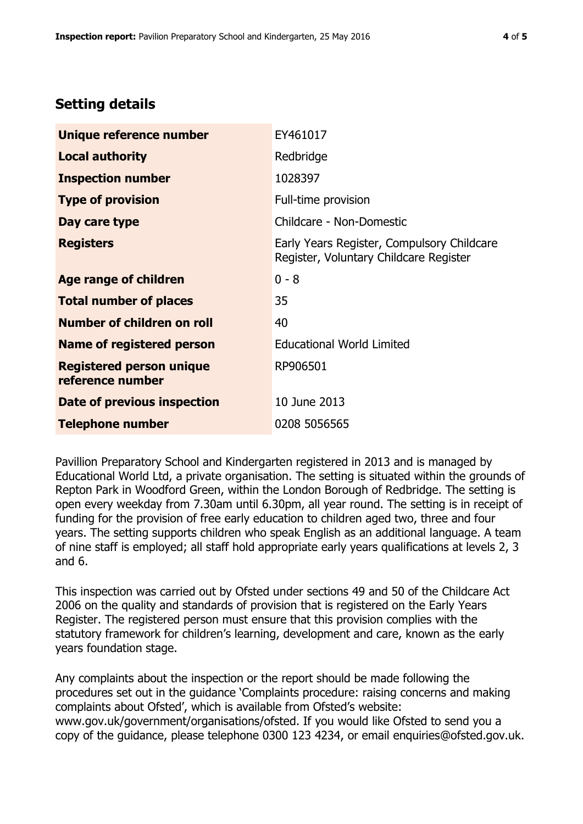# **Setting details**

| Unique reference number                             | EY461017                                                                             |  |
|-----------------------------------------------------|--------------------------------------------------------------------------------------|--|
| <b>Local authority</b>                              | Redbridge                                                                            |  |
| <b>Inspection number</b>                            | 1028397                                                                              |  |
| <b>Type of provision</b>                            | Full-time provision                                                                  |  |
| Day care type                                       | Childcare - Non-Domestic                                                             |  |
| <b>Registers</b>                                    | Early Years Register, Compulsory Childcare<br>Register, Voluntary Childcare Register |  |
| Age range of children                               | $0 - 8$                                                                              |  |
| <b>Total number of places</b>                       | 35                                                                                   |  |
| Number of children on roll                          | 40                                                                                   |  |
| Name of registered person                           | <b>Educational World Limited</b>                                                     |  |
| <b>Registered person unique</b><br>reference number | RP906501                                                                             |  |
| Date of previous inspection                         | 10 June 2013                                                                         |  |
| <b>Telephone number</b>                             | 0208 5056565                                                                         |  |

Pavillion Preparatory School and Kindergarten registered in 2013 and is managed by Educational World Ltd, a private organisation. The setting is situated within the grounds of Repton Park in Woodford Green, within the London Borough of Redbridge. The setting is open every weekday from 7.30am until 6.30pm, all year round. The setting is in receipt of funding for the provision of free early education to children aged two, three and four years. The setting supports children who speak English as an additional language. A team of nine staff is employed; all staff hold appropriate early years qualifications at levels 2, 3 and 6.

This inspection was carried out by Ofsted under sections 49 and 50 of the Childcare Act 2006 on the quality and standards of provision that is registered on the Early Years Register. The registered person must ensure that this provision complies with the statutory framework for children's learning, development and care, known as the early years foundation stage.

Any complaints about the inspection or the report should be made following the procedures set out in the guidance 'Complaints procedure: raising concerns and making complaints about Ofsted', which is available from Ofsted's website: www.gov.uk/government/organisations/ofsted. If you would like Ofsted to send you a copy of the guidance, please telephone 0300 123 4234, or email enquiries@ofsted.gov.uk.